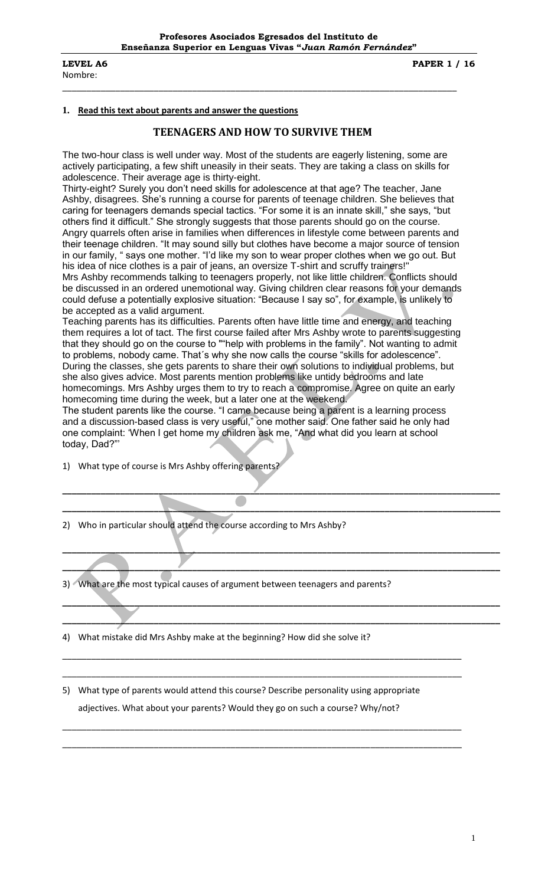Nombre:

**LEVEL A6** PAPER 1 / 16

#### **1. Read this text about parents and answer the questions**

#### **TEENAGERS AND HOW TO SURVIVE THEM**

\_\_\_\_\_\_\_\_\_\_\_\_\_\_\_\_\_\_\_\_\_\_\_\_\_\_\_\_\_\_\_\_\_\_\_\_\_\_\_\_\_\_\_\_\_\_\_\_\_\_\_\_\_\_\_\_\_\_\_\_\_\_\_\_\_\_\_\_\_\_\_\_\_\_\_\_\_\_\_\_\_\_

The two-hour class is well under way. Most of the students are eagerly listening, some are actively participating, a few shift uneasily in their seats. They are taking a class on skills for adolescence. Their average age is thirty-eight.

Thirty-eight? Surely you don"t need skills for adolescence at that age? The teacher, Jane Ashby, disagrees. She"s running a course for parents of teenage children. She believes that caring for teenagers demands special tactics. "For some it is an innate skill," she says, "but others find it difficult." She strongly suggests that those parents should go on the course. Angry quarrels often arise in families when differences in lifestyle come between parents and their teenage children. "It may sound silly but clothes have become a major source of tension in our family, " says one mother. "I"d like my son to wear proper clothes when we go out. But his idea of nice clothes is a pair of jeans, an oversize T-shirt and scruffy trainers!" Mrs Ashby recommends talking to teenagers properly, not like little children. Conflicts should be discussed in an ordered unemotional way. Giving children clear reasons for your demands could defuse a potentially explosive situation: "Because I say so", for example, is unlikely to

be accepted as a valid argument.

Teaching parents has its difficulties. Parents often have little time and energy, and teaching them requires a lot of tact. The first course failed after Mrs Ashby wrote to parents suggesting that they should go on the course to ""help with problems in the family". Not wanting to admit to problems, nobody came. That´s why she now calls the course "skills for adolescence". During the classes, she gets parents to share their own solutions to individual problems, but she also gives advice. Most parents mention problems like untidy bedrooms and late homecomings. Mrs Ashby urges them to try to reach a compromise. Agree on quite an early homecoming time during the week, but a later one at the weekend.

The student parents like the course. "I came because being a parent is a learning process and a discussion-based class is very useful," one mother said. One father said he only had one complaint: "When I get home my children ask me, "And what did you learn at school today, Dad?""

**\_\_\_\_\_\_\_\_\_\_\_\_\_\_\_\_\_\_\_\_\_\_\_\_\_\_\_\_\_\_\_\_\_\_\_\_\_\_\_\_\_\_\_\_\_\_\_\_\_\_\_\_\_\_\_\_\_\_\_\_\_\_\_\_\_\_\_\_\_\_\_\_\_\_\_\_\_\_\_\_\_\_\_\_\_\_\_\_\_\_\_**

**\_\_\_\_\_\_\_\_\_\_\_\_\_\_\_\_\_\_\_\_\_\_\_\_\_\_\_\_\_\_\_\_\_\_\_\_\_\_\_\_\_\_\_\_\_\_\_\_\_\_\_\_\_\_\_\_\_\_\_\_\_\_\_\_\_\_\_\_\_\_\_\_\_\_\_\_\_\_\_\_\_\_\_\_\_\_\_\_\_\_\_**

**\_\_\_\_\_\_\_\_\_\_\_\_\_\_\_\_\_\_\_\_\_\_\_\_\_\_\_\_\_\_\_\_\_\_\_\_\_\_\_\_\_\_\_\_\_\_\_\_\_\_\_\_\_\_\_\_\_\_\_\_\_\_\_\_\_\_\_\_\_\_\_\_\_\_\_\_\_\_\_\_\_\_\_\_\_\_\_\_\_\_\_**

**\_\_\_\_\_\_\_\_\_\_\_\_\_\_\_\_\_\_\_\_\_\_\_\_\_\_\_\_\_\_\_\_\_\_\_\_\_\_\_\_\_\_\_\_\_\_\_\_\_\_\_\_\_\_\_\_\_\_\_\_\_\_\_\_\_\_\_\_\_\_\_\_\_\_\_\_\_\_\_\_\_\_\_\_\_\_\_\_\_\_\_**

**\_\_\_\_\_\_\_\_\_\_\_\_\_\_\_\_\_\_\_\_\_\_\_\_\_\_\_\_\_\_\_\_\_\_\_\_\_\_\_\_\_\_\_\_\_\_\_\_\_\_\_\_\_\_\_\_\_\_\_\_\_\_\_\_\_\_\_\_\_\_\_\_\_\_\_\_\_\_\_\_\_\_\_\_\_\_\_\_\_\_\_**

**\_\_\_\_\_\_\_\_\_\_\_\_\_\_\_\_\_\_\_\_\_\_\_\_\_\_\_\_\_\_\_\_\_\_\_\_\_\_\_\_\_\_\_\_\_\_\_\_\_\_\_\_\_\_\_\_\_\_\_\_\_\_\_\_\_\_\_\_\_\_\_\_\_\_\_\_\_\_\_\_\_\_\_\_\_\_\_\_\_\_\_**

\_\_\_\_\_\_\_\_\_\_\_\_\_\_\_\_\_\_\_\_\_\_\_\_\_\_\_\_\_\_\_\_\_\_\_\_\_\_\_\_\_\_\_\_\_\_\_\_\_\_\_\_\_\_\_\_\_\_\_\_\_\_\_\_\_\_\_\_\_\_\_\_\_\_\_\_\_\_\_\_\_\_\_

\_\_\_\_\_\_\_\_\_\_\_\_\_\_\_\_\_\_\_\_\_\_\_\_\_\_\_\_\_\_\_\_\_\_\_\_\_\_\_\_\_\_\_\_\_\_\_\_\_\_\_\_\_\_\_\_\_\_\_\_\_\_\_\_\_\_\_\_\_\_\_\_\_\_\_\_\_\_\_\_\_\_\_

\_\_\_\_\_\_\_\_\_\_\_\_\_\_\_\_\_\_\_\_\_\_\_\_\_\_\_\_\_\_\_\_\_\_\_\_\_\_\_\_\_\_\_\_\_\_\_\_\_\_\_\_\_\_\_\_\_\_\_\_\_\_\_\_\_\_\_\_\_\_\_\_\_\_\_\_\_\_\_\_\_\_\_

\_\_\_\_\_\_\_\_\_\_\_\_\_\_\_\_\_\_\_\_\_\_\_\_\_\_\_\_\_\_\_\_\_\_\_\_\_\_\_\_\_\_\_\_\_\_\_\_\_\_\_\_\_\_\_\_\_\_\_\_\_\_\_\_\_\_\_\_\_\_\_\_\_\_\_\_\_\_\_\_\_\_\_

1) What type of course is Mrs Ashby offering parents?

- 2) Who in particular should attend the course according to Mrs Ashby?
- 3) What are the most typical causes of argument between teenagers and parents?
- 4) What mistake did Mrs Ashby make at the beginning? How did she solve it?

5) What type of parents would attend this course? Describe personality using appropriate adjectives. What about your parents? Would they go on such a course? Why/not?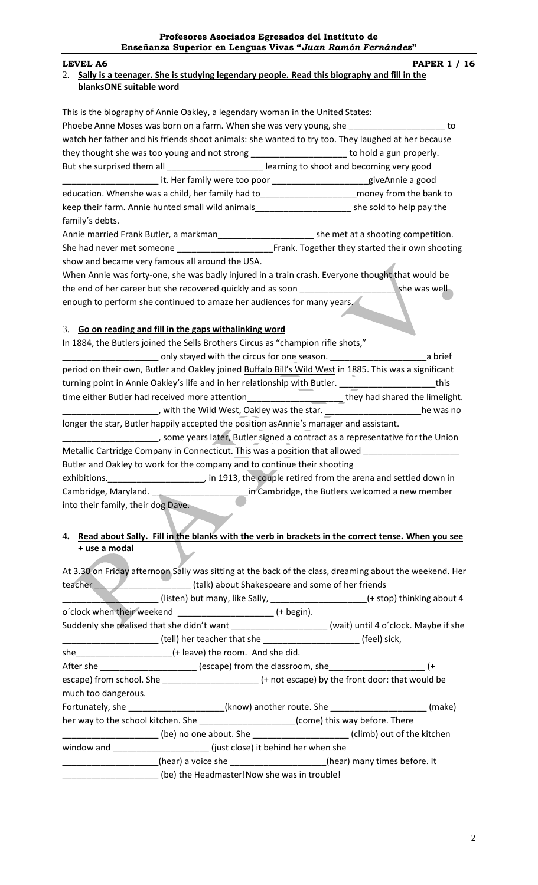### **LEVEL A6 PAPER 1 / 16**

### 2. **Sally is a teenager. She is studying legendary people. Read this biography and fill in the blanksONE suitable word**

| This is the biography of Annie Oakley, a legendary woman in the United States:                         |                                                                                                                                                                                                                                                                         |
|--------------------------------------------------------------------------------------------------------|-------------------------------------------------------------------------------------------------------------------------------------------------------------------------------------------------------------------------------------------------------------------------|
| Phoebe Anne Moses was born on a farm. When she was very young, she ______________________ to           |                                                                                                                                                                                                                                                                         |
| watch her father and his friends shoot animals: she wanted to try too. They laughed at her because     |                                                                                                                                                                                                                                                                         |
| they thought she was too young and not strong _______________________ to hold a gun properly.          |                                                                                                                                                                                                                                                                         |
| But she surprised them all ____________________________ learning to shoot and becoming very good       |                                                                                                                                                                                                                                                                         |
| ___________________________it. Her family were too poor ________________________giveAnnie a good       |                                                                                                                                                                                                                                                                         |
| education. Whenshe was a child, her family had to__________________________money from the bank to      |                                                                                                                                                                                                                                                                         |
| keep their farm. Annie hunted small wild animals_____________________________she sold to help pay the  |                                                                                                                                                                                                                                                                         |
| family's debts.                                                                                        |                                                                                                                                                                                                                                                                         |
|                                                                                                        |                                                                                                                                                                                                                                                                         |
|                                                                                                        |                                                                                                                                                                                                                                                                         |
| show and became very famous all around the USA.                                                        |                                                                                                                                                                                                                                                                         |
| When Annie was forty-one, she was badly injured in a train crash. Everyone thought that would be       |                                                                                                                                                                                                                                                                         |
|                                                                                                        |                                                                                                                                                                                                                                                                         |
| enough to perform she continued to amaze her audiences for many years.                                 |                                                                                                                                                                                                                                                                         |
| 3. Go on reading and fill in the gaps withalinking word                                                |                                                                                                                                                                                                                                                                         |
| In 1884, the Butlers joined the Sells Brothers Circus as "champion rifle shots,"                       |                                                                                                                                                                                                                                                                         |
|                                                                                                        | a brief and the circus for one season. [1001] a brief and set only stayed with the circus for one season.                                                                                                                                                               |
| period on their own, Butler and Oakley joined Buffalo Bill's Wild West in 1885. This was a significant |                                                                                                                                                                                                                                                                         |
| turning point in Annie Oakley's life and in her relationship with Butler. ________________________this |                                                                                                                                                                                                                                                                         |
|                                                                                                        | time either Butler had received more attention_______________________they had shared the limelight.                                                                                                                                                                     |
|                                                                                                        | _______________________, with the Wild West, Oakley was the star. ______________________he was no                                                                                                                                                                       |
| longer the star, Butler happily accepted the position asAnnie's manager and assistant.                 |                                                                                                                                                                                                                                                                         |
|                                                                                                        | _________________________, some years later, Butler signed a contract as a representative for the Union                                                                                                                                                                 |
|                                                                                                        | Metallic Cartridge Company in Connecticut. This was a position that allowed                                                                                                                                                                                             |
| Butler and Oakley to work for the company and to continue their shooting                               |                                                                                                                                                                                                                                                                         |
|                                                                                                        | $\sim$ 404.2 $\mu$ $\sim$ 404.2 $\mu$ $\sim$ 404.2 $\mu$ $\sim$ 404.2 $\mu$ $\sim$ 404.2 $\mu$ $\sim$ 404.2 $\mu$ $\sim$ 404.2 $\mu$ $\sim$ 404.2 $\mu$ $\sim$ 404.2 $\mu$ $\sim$ 404.2 $\mu$ $\sim$ 404.2 $\mu$ $\sim$ 404.2 $\mu$ $\sim$ 404.2 $\mu$ $\sim$ 404.2 $\$ |

exhibitions.<br>
<u>Letted down in and settled down in</u> in 1913, the couple retired from the arena and settled down in Cambridge, Maryland. \_\_\_\_\_\_\_\_\_\_\_\_\_\_\_\_\_\_\_\_\_\_\_\_\_\_\_\_in Cambridge, the Butlers welcomed a new member into their family, their dog Dave.

## **4. Read about Sally. Fill in the blanks with the verb in brackets in the correct tense. When you see + use a modal**

At 3.30 on Friday afternoon Sally was sitting at the back of the class, dreaming about the weekend. Her teacher **the controller teacher** (talk) about Shakespeare and some of her friends

|                                                                                          | (listen) but many, like Sally, _____________________(+ stop) thinking about 4                           |  |  |
|------------------------------------------------------------------------------------------|---------------------------------------------------------------------------------------------------------|--|--|
|                                                                                          | o'clock when their weekend ________________________________ (+ begin).                                  |  |  |
|                                                                                          | Suddenly she realised that she didn't want _____________________(wait) until 4 o'clock. Maybe if she    |  |  |
|                                                                                          | __________________________(tell) her teacher that she ___________________________(feel) sick,           |  |  |
|                                                                                          |                                                                                                         |  |  |
|                                                                                          | After she _______________________ (escape) from the classroom, she__________________________________ (+ |  |  |
|                                                                                          |                                                                                                         |  |  |
| much too dangerous.                                                                      |                                                                                                         |  |  |
|                                                                                          |                                                                                                         |  |  |
| her way to the school kitchen. She ________________________(come) this way before. There |                                                                                                         |  |  |
|                                                                                          | ___________________(be) no one about. She _________________________(climb) out of the kitchen           |  |  |
|                                                                                          |                                                                                                         |  |  |
|                                                                                          | (hear) a voice she _____________________(hear) many times before. It                                    |  |  |
|                                                                                          | (be) the Headmaster!Now she was in trouble!                                                             |  |  |
|                                                                                          |                                                                                                         |  |  |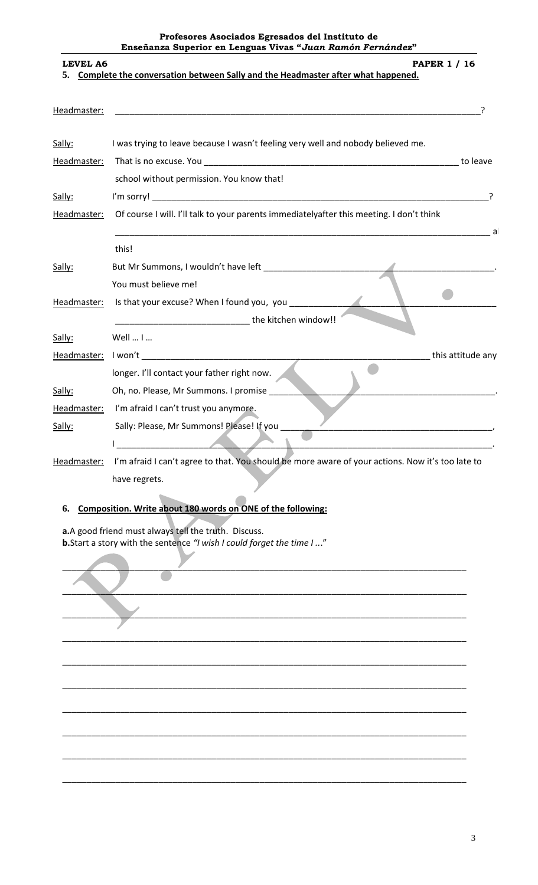# **Profesores Asociados Egresados del Instituto de Enseñanza Superior en Lenguas Vivas "***Juan Ramón Fernández***" LEVEL A6** PAPER 1 / 16 **5. Complete the conversation between Sally and the Headmaster after what happened.**  Headmaster: \_\_\_\_\_\_\_\_\_\_\_\_\_\_\_\_\_\_\_\_\_\_\_\_\_\_\_\_\_\_\_\_\_\_\_\_\_\_\_\_\_\_\_\_\_\_\_\_\_\_\_\_\_\_\_\_\_\_\_\_\_\_\_\_\_\_\_\_\_\_\_\_\_\_\_\_? Sally: I was trying to leave because I wasn't feeling very well and nobody believed me. Headmaster: That is no excuse. You \_\_\_\_\_\_\_\_\_\_\_\_\_\_\_\_\_\_\_\_\_\_\_\_\_\_\_\_\_\_\_\_\_\_\_\_\_\_\_\_\_\_\_\_\_\_\_\_\_\_\_\_\_ to leave school without permission. You know that! Sally: I'm sorry! \_\_\_\_\_\_\_\_\_\_\_\_\_\_\_\_\_\_\_\_\_\_\_\_\_\_\_\_\_\_\_\_\_\_\_\_\_\_\_\_\_\_\_\_\_\_\_\_\_\_\_\_\_\_\_\_\_\_\_\_\_\_\_\_\_\_\_\_\_\_? Headmaster: Of course I will. I'll talk to your parents immediatelyafter this meeting. I don't think \_\_\_\_\_\_\_\_\_\_\_\_\_\_\_\_\_\_\_\_\_\_\_\_\_\_\_\_\_\_\_\_\_\_\_\_\_\_\_\_\_\_\_\_\_\_\_\_\_\_\_\_\_\_\_\_\_\_\_\_\_\_\_\_\_\_\_\_\_\_\_\_\_\_\_\_\_\_ about this! Sally: But Mr Summons, I wouldn't have left \_\_\_\_\_\_\_\_\_\_\_\_\_\_\_\_\_\_\_\_\_\_\_\_\_\_\_\_\_\_\_\_\_\_\_\_\_\_\_\_\_\_\_\_\_\_\_\_. You must believe me!  $\qquad \qquad \blacksquare$ Headmaster: Is that your excuse? When I found you, you \_\_\_\_\_\_\_\_\_\_\_\_\_\_\_\_\_\_\_\_\_\_\_\_\_\_\_\_ the kitchen window!! Sally: Well ... I ... Headmaster: I won't \_\_\_\_\_\_\_\_\_\_\_\_\_\_\_\_\_\_\_\_\_\_\_\_\_\_\_\_\_\_\_\_\_\_\_\_\_\_\_\_\_\_\_\_\_\_\_\_\_\_\_\_\_\_\_\_\_\_\_\_ this attitude any  $\bullet$ longer. I'll contact your father right now. Sally: Oh, no. Please, Mr Summons. I promise Headmaster: I'm afraid I can't trust you anymore.

Sally: Sally: Please, Mr Summons! Please! If you I \_\_\_\_\_\_\_\_\_\_\_\_\_\_\_\_\_\_\_\_\_\_\_\_\_\_\_\_\_\_\_\_\_\_\_\_\_\_\_\_\_\_\_\_\_\_\_\_\_\_\_\_\_\_\_\_\_\_\_\_\_\_\_\_\_\_\_\_\_\_\_\_\_\_\_\_\_\_. Headmaster: I'm afraid I can't agree to that. You should be more aware of your actions. Now it's too late to

have regrets.

# **6. Composition. Write about 180 words on ONE of the following:**

**a.**A good friend must always tell the truth. Discuss. **b.**Start a story with the sentence *"I wish I could forget the time I ..*."

 $\blacksquare$  . The contract of the contract of the contract of the contract of the contract of the contract of the contract of the contract of the contract of the contract of the contract of the contract of the contract of the \_\_\_\_\_\_\_\_\_\_\_\_\_\_\_\_\_\_\_\_\_\_\_\_\_\_\_\_\_\_\_\_\_\_\_\_\_\_\_\_\_\_\_\_\_\_\_\_\_\_\_\_\_\_\_\_\_\_\_\_\_\_\_\_\_\_\_\_\_\_\_\_\_\_\_\_\_\_\_\_\_\_\_\_ \_\_\_\_\_\_\_\_\_\_\_\_\_\_\_\_\_\_\_\_\_\_\_\_\_\_\_\_\_\_\_\_\_\_\_\_\_\_\_\_\_\_\_\_\_\_\_\_\_\_\_\_\_\_\_\_\_\_\_\_\_\_\_\_\_\_\_\_\_\_\_\_\_\_\_\_\_\_\_\_\_\_\_\_ \_\_\_\_\_\_\_\_\_\_\_\_\_\_\_\_\_\_\_\_\_\_\_\_\_\_\_\_\_\_\_\_\_\_\_\_\_\_\_\_\_\_\_\_\_\_\_\_\_\_\_\_\_\_\_\_\_\_\_\_\_\_\_\_\_\_\_\_\_\_\_\_\_\_\_\_\_\_\_\_\_\_\_\_ \_\_\_\_\_\_\_\_\_\_\_\_\_\_\_\_\_\_\_\_\_\_\_\_\_\_\_\_\_\_\_\_\_\_\_\_\_\_\_\_\_\_\_\_\_\_\_\_\_\_\_\_\_\_\_\_\_\_\_\_\_\_\_\_\_\_\_\_\_\_\_\_\_\_\_\_\_\_\_\_\_\_\_\_ \_\_\_\_\_\_\_\_\_\_\_\_\_\_\_\_\_\_\_\_\_\_\_\_\_\_\_\_\_\_\_\_\_\_\_\_\_\_\_\_\_\_\_\_\_\_\_\_\_\_\_\_\_\_\_\_\_\_\_\_\_\_\_\_\_\_\_\_\_\_\_\_\_\_\_\_\_\_\_\_\_\_\_\_ \_\_\_\_\_\_\_\_\_\_\_\_\_\_\_\_\_\_\_\_\_\_\_\_\_\_\_\_\_\_\_\_\_\_\_\_\_\_\_\_\_\_\_\_\_\_\_\_\_\_\_\_\_\_\_\_\_\_\_\_\_\_\_\_\_\_\_\_\_\_\_\_\_\_\_\_\_\_\_\_\_\_\_\_ \_\_\_\_\_\_\_\_\_\_\_\_\_\_\_\_\_\_\_\_\_\_\_\_\_\_\_\_\_\_\_\_\_\_\_\_\_\_\_\_\_\_\_\_\_\_\_\_\_\_\_\_\_\_\_\_\_\_\_\_\_\_\_\_\_\_\_\_\_\_\_\_\_\_\_\_\_\_\_\_\_\_\_\_ \_\_\_\_\_\_\_\_\_\_\_\_\_\_\_\_\_\_\_\_\_\_\_\_\_\_\_\_\_\_\_\_\_\_\_\_\_\_\_\_\_\_\_\_\_\_\_\_\_\_\_\_\_\_\_\_\_\_\_\_\_\_\_\_\_\_\_\_\_\_\_\_\_\_\_\_\_\_\_\_\_\_\_\_ \_\_\_\_\_\_\_\_\_\_\_\_\_\_\_\_\_\_\_\_\_\_\_\_\_\_\_\_\_\_\_\_\_\_\_\_\_\_\_\_\_\_\_\_\_\_\_\_\_\_\_\_\_\_\_\_\_\_\_\_\_\_\_\_\_\_\_\_\_\_\_\_\_\_\_\_\_\_\_\_\_\_\_\_